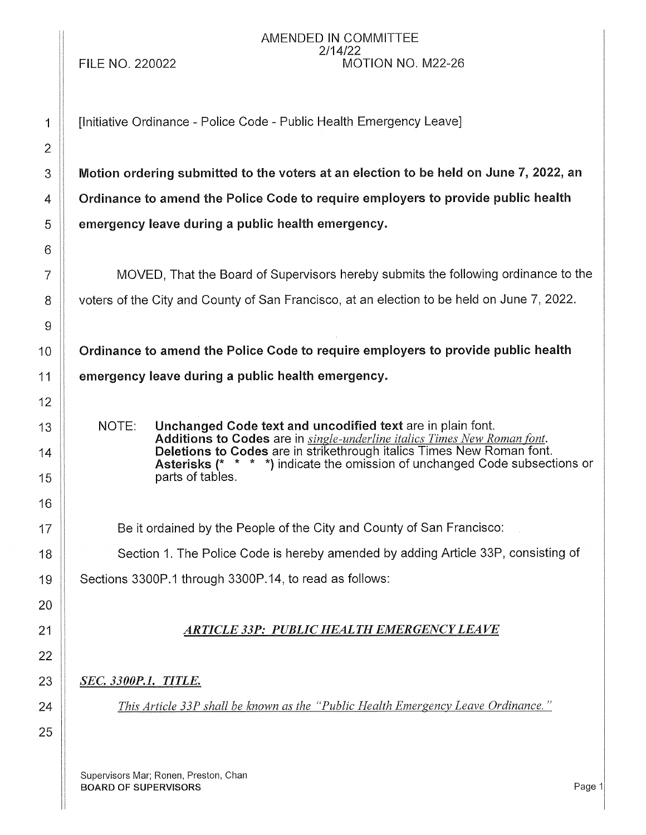**FILE NO. 220022** 

#### AMENDED IN COMMITTEE  $2/14/22$ MOTION NO. M22-26

[Initiative Ordinance - Police Code - Public Health Emergency Leave]

Motion ordering submitted to the voters at an election to be held on June 7, 2022, an Ordinance to amend the Police Code to require employers to provide public health emergency leave during a public health emergency.

MOVED. That the Board of Supervisors hereby submits the following ordinance to the voters of the City and County of San Francisco, at an election to be held on June 7, 2022.

Ordinance to amend the Police Code to require employers to provide public health emergency leave during a public health emergency.

Unchanged Code text and uncodified text are in plain font. NOTE: Additions to Codes are in single-underline italics Times New Roman font. Deletions to Codes are in strikethrough italics Times New Roman font. **Asterisks (\* \* \* \*)** indicate the omission of unchanged Code subsections or parts of tables.

Be it ordained by the People of the City and County of San Francisco:

Section 1. The Police Code is hereby amended by adding Article 33P, consisting of

Sections 3300P.1 through 3300P.14, to read as follows:

# **ARTICLE 33P: PUBLIC HEALTH EMERGENCY LEAVE**

**SEC. 3300P.1. TITLE.** 

This Article 33P shall be known as the "Public Health Emergency Leave Ordinance."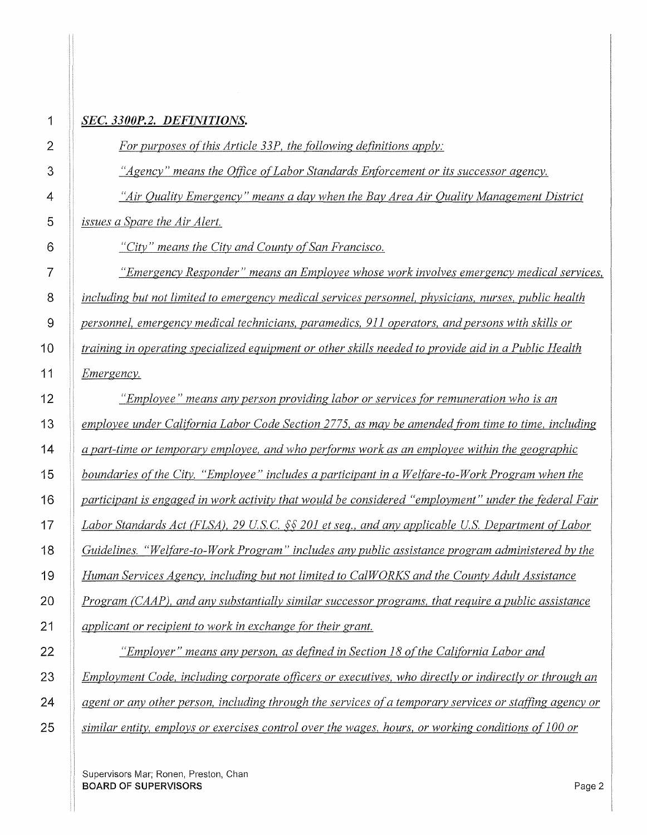| 1              | SEC. 3300P.2. DEFINITIONS.                                                                              |
|----------------|---------------------------------------------------------------------------------------------------------|
| $\overline{2}$ | For purposes of this Article 33P, the following definitions apply:                                      |
| 3              | "Agency" means the Office of Labor Standards Enforcement or its successor agency.                       |
| 4              | "Air Quality Emergency" means a day when the Bay Area Air Quality Management District                   |
| 5              | issues a Spare the Air Alert.                                                                           |
| 6              | "City" means the City and County of San Francisco.                                                      |
| 7              | "Emergency Responder" means an Employee whose work involves emergency medical services,                 |
| 8              | including but not limited to emergency medical services personnel, physicians, nurses, public health    |
| $\overline{9}$ | personnel, emergency medical technicians, paramedics, 911 operators, and persons with skills or         |
| 10             | training in operating specialized equipment or other skills needed to provide aid in a Public Health    |
| 11             | <i>Emergency.</i>                                                                                       |
| 12             | "Employee" means any person providing labor or services for remuneration who is an                      |
| 13             | employee under California Labor Code Section 2775, as may be amended from time to time, including       |
| 14             | a part-time or temporary employee, and who performs work as an employee within the geographic           |
| 15             | boundaries of the City. "Employee" includes a participant in a Welfare-to-Work Program when the         |
| 16             | participant is engaged in work activity that would be considered "employment" under the federal Fair    |
| 17             | Labor Standards Act (FLSA), 29 U.S.C. §§ 201 et seq., and any applicable U.S. Department of Labor       |
| 18             | Guidelines. "Welfare-to-Work Program" includes any public assistance program administered by the        |
| 19             | Human Services Agency, including but not limited to CalWORKS and the County Adult Assistance            |
| 20             | Program (CAAP), and any substantially similar successor programs, that require a public assistance      |
| 21             | applicant or recipient to work in exchange for their grant.                                             |
| 22             | "Employer" means any person, as defined in Section 18 of the California Labor and                       |
| 23             | Employment Code, including corporate officers or executives, who directly or indirectly or through an   |
| 24             | agent or any other person, including through the services of a temporary services or staffing agency or |
| 25             | similar entity, employs or exercises control over the wages, hours, or working conditions of 100 or     |

Supervisors Mar; Ronen, Preston, Chan BOARD OF SUPERVISORS Page 2

*Emergency.*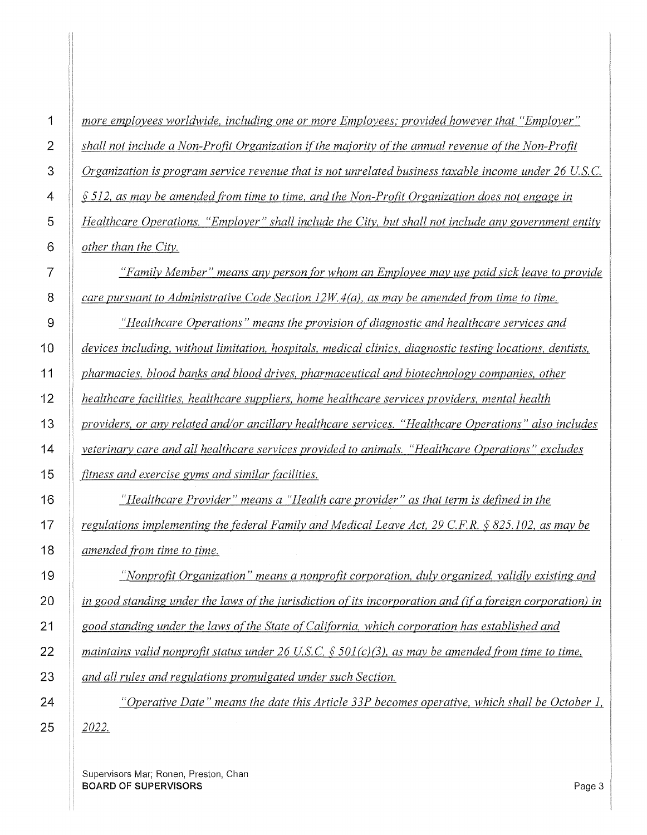| 1               | more employees worldwide, including one or more Employees; provided however that "Employer"                |
|-----------------|------------------------------------------------------------------------------------------------------------|
| $\overline{2}$  | shall not include a Non-Profit Organization if the majority of the annual revenue of the Non-Profit        |
| 3               | Organization is program service revenue that is not unrelated business taxable income under 26 U.S.C.      |
| 4               | $\S$ 512, as may be amended from time to time, and the Non-Profit Organization does not engage in          |
| 5               | Healthcare Operations. "Employer" shall include the City, but shall not include any government entity      |
| 6               | other than the City.                                                                                       |
| $\overline{7}$  | "Family Member" means any person for whom an Employee may use paid sick leave to provide                   |
| 8               | care pursuant to Administrative Code Section $12W.4(a)$ , as may be amended from time to time.             |
| 9               | "Healthcare Operations" means the provision of diagnostic and healthcare services and                      |
| 0               | devices including, without limitation, hospitals, medical clinics, diagnostic testing locations, dentists, |
| $\mathbf 1$     | pharmacies, blood banks and blood drives, pharmaceutical and biotechnology companies, other                |
| $\overline{2}$  | healthcare facilities, healthcare suppliers, home healthcare services providers, mental health             |
| 3               | providers, or any related and/or ancillary healthcare services. "Healthcare Operations" also includes      |
| $\overline{4}$  | veterinary care and all healthcare services provided to animals. "Healthcare Operations" excludes          |
| 5               | fitness and exercise gyms and similar facilities.                                                          |
| $6\phantom{.}6$ | "Healthcare Provider" means a "Health care provider" as that term is defined in the                        |
| $\overline{7}$  | regulations implementing the federal Family and Medical Leave Act, 29 C.F.R. $\S 825.102$ , as may be      |
| $\sqrt{8}$      | amended from time to time.                                                                                 |
| 19              | "Nonprofit Organization" means a nonprofit corporation, duly organized, validly existing and               |
| 20              | in good standing under the laws of the jurisdiction of its incorporation and (if a foreign corporation) in |
| 21              | good standing under the laws of the State of California, which corporation has established and             |
| $\overline{2}$  | maintains valid nonprofit status under 26 U.S.C. § 501(c)(3), as may be amended from time to time,         |
| :3              | and all rules and regulations promulgated under such Section.                                              |
| 24              | "Operative Date" means the date this Article 33P becomes operative, which shall be October 1,              |
| 25              | <u>2022.</u>                                                                                               |
|                 |                                                                                                            |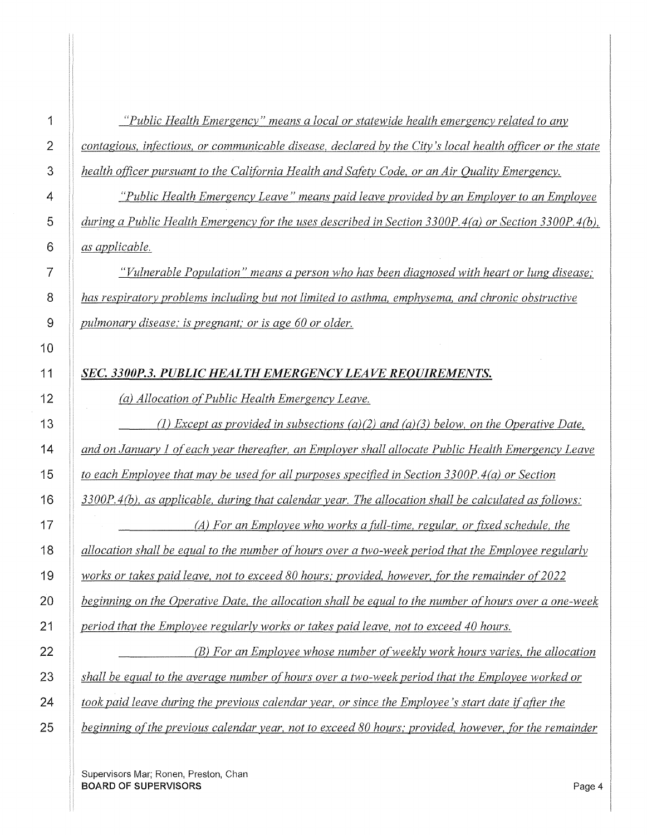*"Public Health Emergency" means a local or statewide health emergency related to any as applicable. (a) Allocation of Public Health Emergency Leave. period that the Employee regularly works or takes paid leave, not to exceed 40 hours.* 

**i** *contagious, infectious, or communicable disease, declared by the City's local health officer or the state health officer pursuant to the California Health and Safety Code, or an Air Quality Emergency.* 

*"Public Health Emergency Leave" means paid leave provided by an Employer to an Employee during a Public Health Emergency for the uses described in Section 3300P.4(a) or Section 3300P.4(b),* 

*"Vulnerable Population" means a person who has been diagnosed with heart or lung disease,· has respiratory problems including but not limited to asthma, emphysema, and chronic obstructive pulmonary disease; is pregnant; or is age 60 or older.* 

# *SEC. 3300P.3. PUBLIC HEALTH EMERGENCY LEAVE REQUIREMENTS.*

(1) *Except as provided in subsections (a){2) and (a)(3) below, on the Operative Date, and on January 1 of each year thereafter, an Employer shall allocate Public Health Emergency Leave to each Employee that may be used for all purposes specified in Section 3300P.4(a) or Section 3300P. 4(Q), as applicable, during that calendar year. The allocation shall be calculated as follows:* 

*(A) For an Employee who works a fitll-time, regular, or fixed schedule, the allocation shall be equal to the number of hours over a two-week period that the Employee regularly works or takes paid leave, not to exceed 80 hours; provided, however, for the remainder of2022 beginning on the Operative Date, the allocation shall be equal to the number of hours over a one-week* 

*(B) For an Employee whose number of weekly work hours varies, the allocation* 

*shall be equal to the average number of hours over a two-week period that the Employee worked or* 

*took paid leave during the previous calendar year, or since the Employee's start date if after the* 

*l beginning of the previous calendar year, not to exceed 80 hours; provided, however, for the remainder*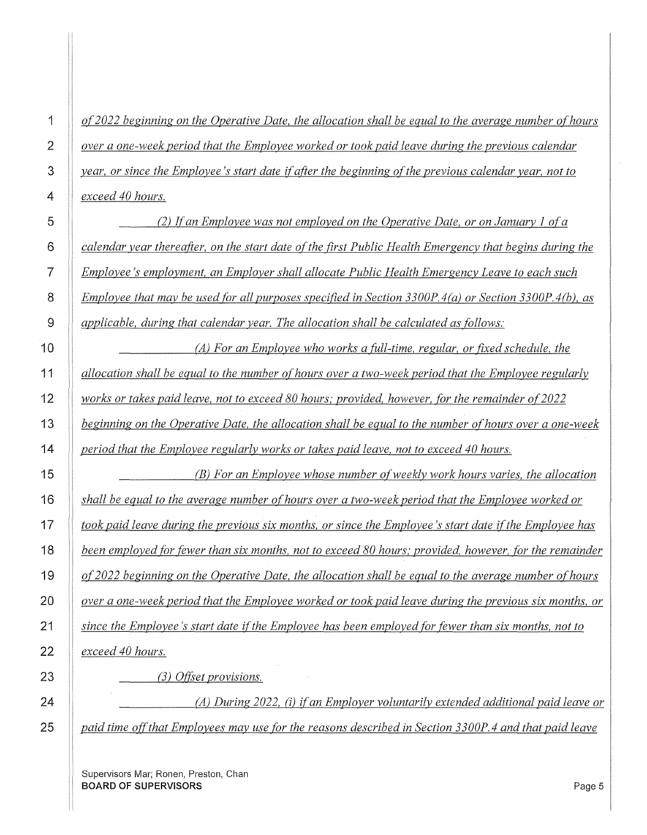*of2022 beginning on the Operative Date, the allocation shall be equal to the average number of hours over a one-week period that the Employee worked or took paid leave during the previous calendar year, or since the Employee's start date if after the beginning of the previous calendar year, not to exceed 40 hours.* 

*(2) Jfan Employee was not employed on the Operative Date, or on January 1 ofa calendar year thereafter, on the start date of the first Public Health Emergency that begins during the Employee 's employment, an Employer shall allocate Public Health Emergency Leave to each such Employee that may be used for all purposes specified in Section 3300P.4(a) or Section 3300P.4(b), as applicable, during that calendar year. The allocation shall be calculated as follows:* 

*(A) For an Employee who works a fitll-time, regular, or fixed schedule, the allocation shall be equal to the number of hours over a two-week period that the Employee regularly works or takes paid leave, not to exceed 80 hours; provided, however, for the remainder of 2022 beginning on the Operative Date, the allocation shall be equal to the number of hours over a one-week period that the Employee regularly works or takes paid leave, not to exceed 40 hours.* 

*(B) For an Employee whose number of weekly work hours varies, the allocation shall be equal to the average number of hours over a two-week period that the Employee worked or took paid leave during the previous six months, or since the Employee's start date ifthe Employee has been employed for fewer than six months, not to exceed 80 hours; provided, however, for the remainder of2022 beginning on the Operative Date, the allocation shall be equal to the average number of hours over a one-week period that the Employee worked or took paid leave during the previous six months, or since the Employee's start date ifthe Employee has been employed for fewer than six months, not to exceed 40 hours.* 

(3) *Offset provisions.* 

*(A) During 2022,* (i) *if an Employer voluntarily extended additional paid leave or paid time offthat Employees may use for the reasons described in Section 3300P.4 and that paid leave*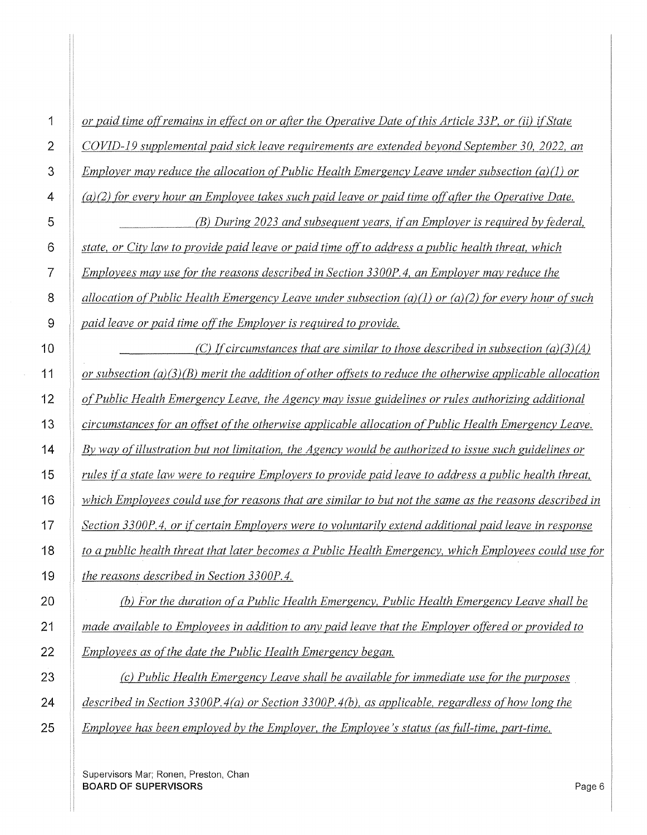| or paid time off remains in effect on or after the Operative Date of this Article 33P, or (ii) if State     |
|-------------------------------------------------------------------------------------------------------------|
| COVID-19 supplemental paid sick leave requirements are extended beyond September 30, 2022, an               |
| Employer may reduce the allocation of Public Health Emergency Leave under subsection $(a)(1)$ or            |
| $(a)(2)$ for every hour an Employee takes such paid leave or paid time off after the Operative Date.        |
| (B) During 2023 and subsequent years, if an Employer is required by federal,                                |
| state, or City law to provide paid leave or paid time off to address a public health threat, which          |
| Employees may use for the reasons described in Section 3300P.4, an Employer may reduce the                  |
| allocation of Public Health Emergency Leave under subsection (a)(1) or (a)(2) for every hour of such        |
| paid leave or paid time off the Employer is required to provide.                                            |
| (C) If circumstances that are similar to those described in subsection $(a)(3)(A)$                          |
| or subsection $(a)(3)(B)$ merit the addition of other offsets to reduce the otherwise applicable allocation |
| of Public Health Emergency Leave, the Agency may issue guidelines or rules authorizing additional           |
| circumstances for an offset of the otherwise applicable allocation of Public Health Emergency Leave.        |
| By way of illustration but not limitation, the Agency would be authorized to issue such guidelines or       |
| rules if a state law were to require Employers to provide paid leave to address a public health threat,     |
| which Employees could use for reasons that are similar to but not the same as the reasons described in      |
| Section 3300P.4, or if certain Employers were to voluntarily extend additional paid leave in response       |
| to a public health threat that later becomes a Public Health Emergency, which Employees could use for       |
| the reasons described in Section 3300P.4.                                                                   |
| (b) For the duration of a Public Health Emergency, Public Health Emergency Leave shall be                   |
| made available to Employees in addition to any paid leave that the Employer offered or provided to          |
|                                                                                                             |

*(c) Public Health Emergency Leave shall be available (Or immediate use (Or the purposes described in Section 3300P.4(a) or Section 3300P.4(Q), as applicable, regardless ofhow long the Employee has been employed by the Employer, the Employee's status (as fitll-time, part-time,* 

Supervisors Mar; Ronen, Preston, Chan **BOARD OF SUPERVISORS Page 6** 

*Employees as of the date the Public Health Emergency began.*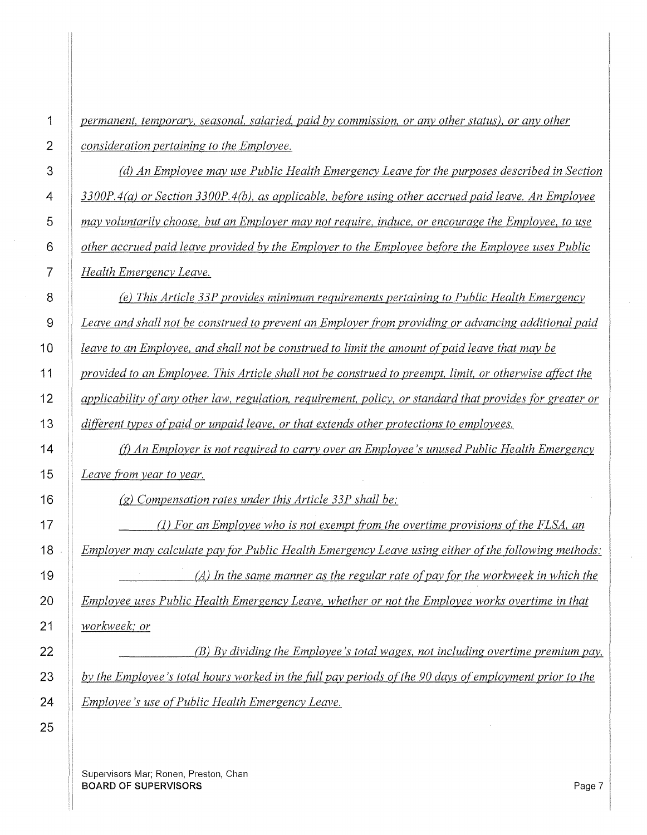*permanent, temporary, seasonal, salaried, paid by commission, or any other status), or any other consideration pertaining to the Employee.* 

*(d) An Employee may use Public Health Emergency Leave [or the purposes described in Section 3300P.4(a) or Section 3300P.4(Q), as applicable, before using other accrued paid leave. An Employee may voluntarily choose, but an Employer may not require, induce, or encourage the Employee, to use other accrued paid leave provided by the Employer to the Employee before the Employee uses Public Health Emergency Leave.* 

*(e) This Article 33P provides minimum requirements pertaining to Public Health Emergency Leave and shall not be construed to prevent an Employer from providing or advancing additional paid leave to an Employee, and shall not be construed to limit the amount of paid leave that may be provided to an Employee. This Article shall not be construed to preempt, limit, or otherwise affect the applicability of any other law, regulation, requirement, policy, or standard that provides [or greater or different types of paid or unpaid leave, or that extends other protections to employees.* 

*{!)An Employer is not required to carry over an Employee's unused Public Health Emergency Leave from year to year.* 

(g) *Compensation rates under this Article 33P shall be:* 

(1) *For an Employee who is not exempt from the overtime provisions of the FLSA, an Employer may calculate pay for Public Health Emergency Leave using either of the following methods: (A) Jn the same manner as the regular rate ofpay for the workweek in which the Employee uses Public Health Emergency Leave, whether or not the Employee works overtime in that workweek,· or* 

*(B) By dividing the Employee's total wages, not including overtime premium pay, by the Employee's total hours worked in the {itll pay periods of the 90 days of employment prior to the Employee's use of Public Health Emergency Leave.*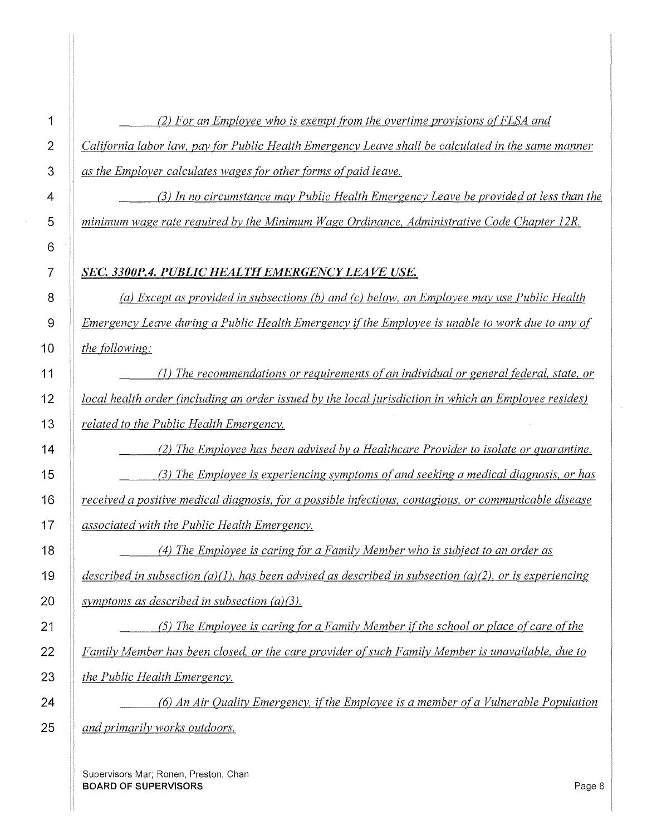| 1              | (2) For an Employee who is exempt from the overtime provisions of FLSA and                             |
|----------------|--------------------------------------------------------------------------------------------------------|
| $\overline{2}$ | California labor law, pay for Public Health Emergency Leave shall be calculated in the same manner     |
| 3              | as the Employer calculates wages for other forms of paid leave.                                        |
| 4              | (3) In no circumstance may Public Health Emergency Leave be provided at less than the                  |
| 5              | minimum wage rate required by the Minimum Wage Ordinance, Administrative Code Chapter 12R.             |
| 6              |                                                                                                        |
| 7              | SEC. 3300P.4. PUBLIC HEALTH EMERGENCY LEAVE USE.                                                       |
| 8              | (a) Except as provided in subsections (b) and (c) below, an Employee may use Public Health             |
| 9              | Emergency Leave during a Public Health Emergency if the Employee is unable to work due to any of       |
| 10             | the following:                                                                                         |
| 11             | (1) The recommendations or requirements of an individual or general federal, state, or                 |
| 12             | local health order (including an order issued by the local jurisdiction in which an Employee resides)  |
| 13             | related to the Public Health Emergency.                                                                |
| 14             | (2) The Employee has been advised by a Healthcare Provider to isolate or quarantine.                   |
| 15             | (3) The Employee is experiencing symptoms of and seeking a medical diagnosis, or has                   |
| 16             | received a positive medical diagnosis, for a possible infectious, contagious, or communicable disease  |
| 17             | associated with the Public Health Emergency.                                                           |
| 18             | (4) The Employee is caring for a Family Member who is subject to an order as                           |
| 19             | described in subsection (a)(1), has been advised as described in subsection (a)(2), or is experiencing |
| 20             | symptoms as described in subsection $(a)(3)$ .                                                         |
| 21             | (5) The Employee is caring for a Family Member if the school or place of care of the                   |
| 22             | Family Member has been closed, or the care provider of such Family Member is unavailable, due to       |
| 23             | the Public Health Emergency.                                                                           |
| 24             | (6) An Air Quality Emergency, if the Employee is a member of a Vulnerable Population                   |
| 25             | and primarily works outdoors.                                                                          |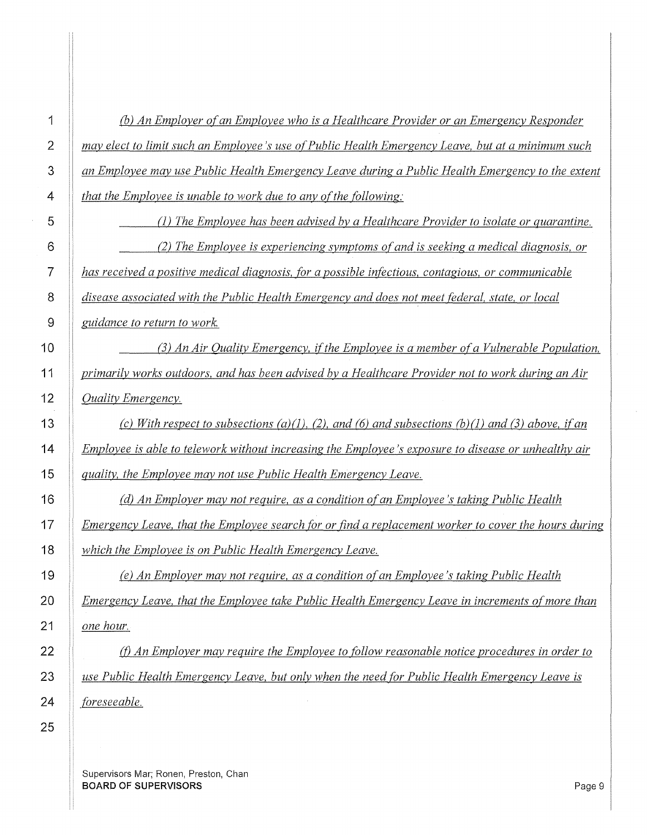| (b) An Employer of an Employee who is a Healthcare Provider or an Emergency Responder                |  |
|------------------------------------------------------------------------------------------------------|--|
| may elect to limit such an Employee's use of Public Health Emergency Leave, but at a minimum such    |  |
| an Employee may use Public Health Emergency Leave during a Public Health Emergency to the extent     |  |
| <i>that the Employee is unable to work due to any of the following:</i>                              |  |
| (1) The Employee has been advised by a Healthcare Provider to isolate or quarantine.                 |  |
| (2) The Employee is experiencing symptoms of and is seeking a medical diagnosis, or                  |  |
| has received a positive medical diagnosis, for a possible infectious, contagious, or communicable    |  |
| disease associated with the Public Health Emergency and does not meet federal, state, or local       |  |
| guidance to return to work.                                                                          |  |
| (3) An Air Quality Emergency, if the Employee is a member of a Vulnerable Population,                |  |
| primarily works outdoors, and has been advised by a Healthcare Provider not to work during an Air    |  |
| <b>Ouality Emergency.</b>                                                                            |  |
| (c) With respect to subsections (a)(1), (2), and (6) and subsections (b)(1) and (3) above, if an     |  |
| Employee is able to telework without increasing the Employee's exposure to disease or unhealthy air  |  |
| quality, the Employee may not use Public Health Emergency Leave.                                     |  |
| (d) An Employer may not require, as a condition of an Employee's taking Public Health                |  |
| Emergency Leave, that the Employee search for or find a replacement worker to cover the hours during |  |
| which the Employee is on Public Health Emergency Leave.                                              |  |
| (e) An Employer may not require, as a condition of an Employee's taking Public Health                |  |
| Emergency Leave, that the Employee take Public Health Emergency Leave in increments of more than     |  |
| <u>one hour.</u>                                                                                     |  |
| $(f)$ An Employer may require the Employee to follow reasonable notice procedures in order to        |  |
| use Public Health Emergency Leave, but only when the need for Public Health Emergency Leave is       |  |
| foreseeable.                                                                                         |  |

**1** 

**2** 

**3** 

 $\hat{\boldsymbol{\beta}}$ 

Supervisors Mar; Ronen, Preston, Chan **BOARD OF SUPERVISORS** Page 9  $\bar{\mathcal{A}}$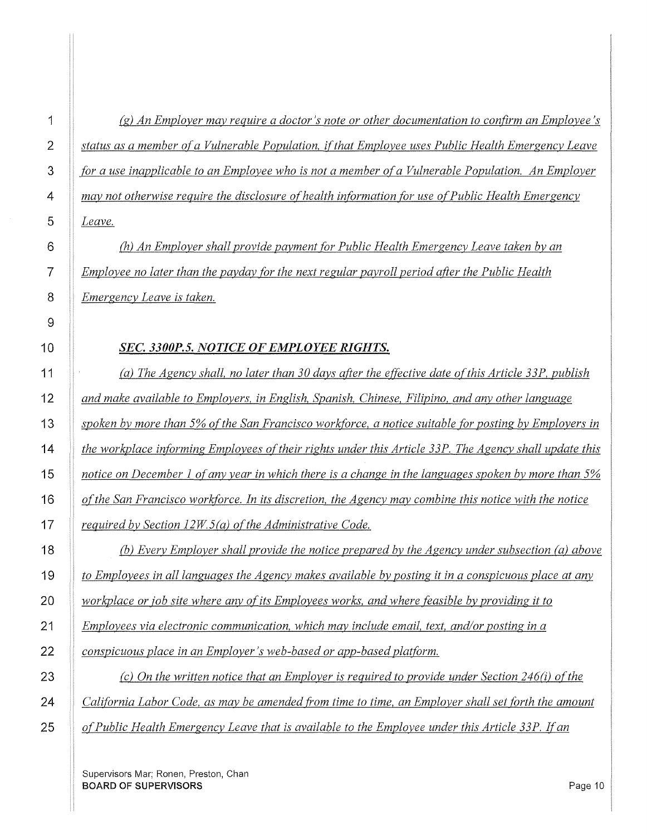*(g) An Employer may require a doctor's note or other documentation to confirm an Employee's status as a member of a Vulnerable Population, if that Employee uses Public Health Emergency Leave for a use inapplicable to an Employee who is not a member ofa Vulnerable Population. An Employer may not otherwise require the disclosure of health information for use of Public Health Emergency Leave.* 

(h) *An Employer shall provide payment for Public Health Emergency Leave taken by an Employee no later than the payday for the next regular payroll period after the Public Health Emergency Leave is taken.* 

### *SEC. 3300P.5. NOTICE OF EMPLOYEE RIGHTS.*

*(a) The Agency shall, no later than 30 days after the effective date of this Article 33P, publish and make available to Employers, in English, Spanish, Chinese, Filipino, and any other language*  spoken by more than 5% of the San Francisco workforce, a notice suitable for posting by Employers in *the workplace informing Employees of their rights under this Article 33P. The Agency shall update this notice on December 1 of any year in which there is a change in the languages spoken by more than 5% ofthe San Francisco workforce. In its discretion, the Agency may combine this notice with the notice required by Section 12W5(a) of the Administrative Code.* 

(b) *Every Employer shall provide the notice prepared by the Agency under subsection (a) above to Employees in all languages the Agency makes available by posting it in a conspicuous place at any workplace or job site where any of its Employees works, and where feasible by providing it to* 

*Employees via electronic communication, which may include email, text, and/or posting in a* 

*conspicuous place in an Employer's web-based or app-based platform.* 

*(c)* On the written notice that an Employer is required to provide under Section 246(i) of the *California Labor Code, as may be amended from time to time, an Employer shall set forth the amount of Public Health Emergency Leave that is available to the Employee under this Article 33P.* If *an*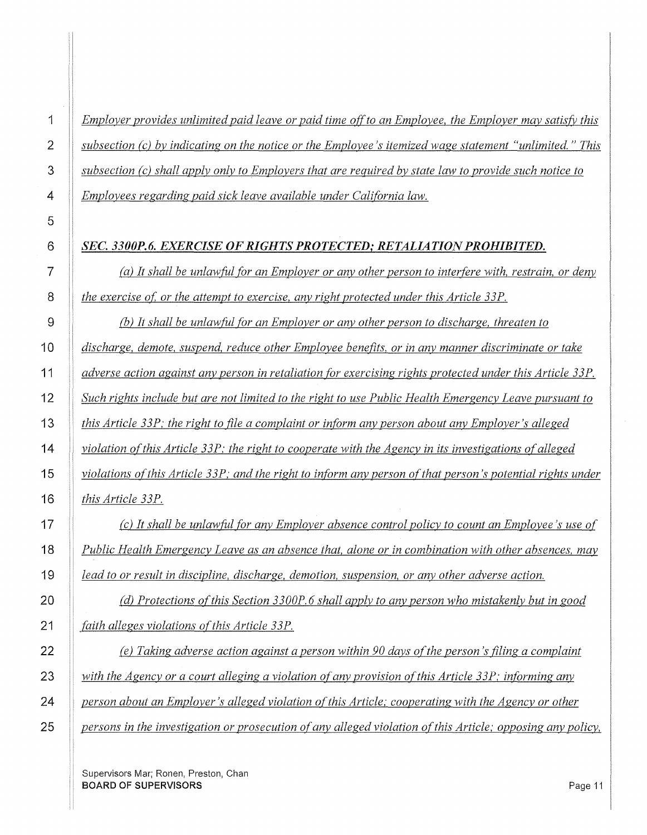*Employer provides unlimited paid leave or paid time off to an Employee, the Employer may satisfj; this subsection (c) by indicating on the notice or the Employee's itemized wage statement "unlimited.* " *This subsection (c) shall apply only to Employers that are required by state law to provide such notice to Employees regarding paid sick leave available under Cali{Ornia law.* 

### *SEC. 3300P.6. EXERCISE OF RIGHTS PROTECTED,· RETALIATION PROHIBITED.*

*(a) It shall be unlawfitl {Or an Employer or any other person to interfere with, restrain, or deny the exercise of, or the attempt to exercise, any right protected under this Article 33P.* 

*(b)* It shall be unlawful for an Employer or any other person to discharge, threaten to *discharge, demote, suspend, reduce other Employee benefits, or in any manner discriminate or take adverse action against any person in retaliation {Or exercising rights protected under this Article 33P. Such rights include but are not limited to the right to use Public Health Emergency Leave pursuant to this Article 33P: the right to file a complaint or in{Orm any person about any Employer's alleged violation of this Article 33P: the right to cooperate with the Agency in its investigations of alleged violations of this Article 33P; and the right to inform any person of that person's potential rights under this Article 33P.* 

*(c) It shall be unlawfitl {Or any Employer absence control policy to count an Employee's use of Public Health Emergency Leave as an absence that, alone or in combination with other absences, may lead to or result in discipline, discharge, demotion, suspension, or any other adverse action.* 

*(d) Protections of this Section 3300P. 6 shall apply to any person who mistakenly but in good faith alleges violations ofthis Article 33P.* 

*(e) Taking adverse action against a person within 90 days of the person's filing a complaint*  with the Agency or a court alleging a violation of any provision of this Article 33P; informing any *person about an Employer's alleged violation of this Article: cooperating with the Agency or other persons in the investigation or prosecution of any alleged violation of this Article; opposing any policy,*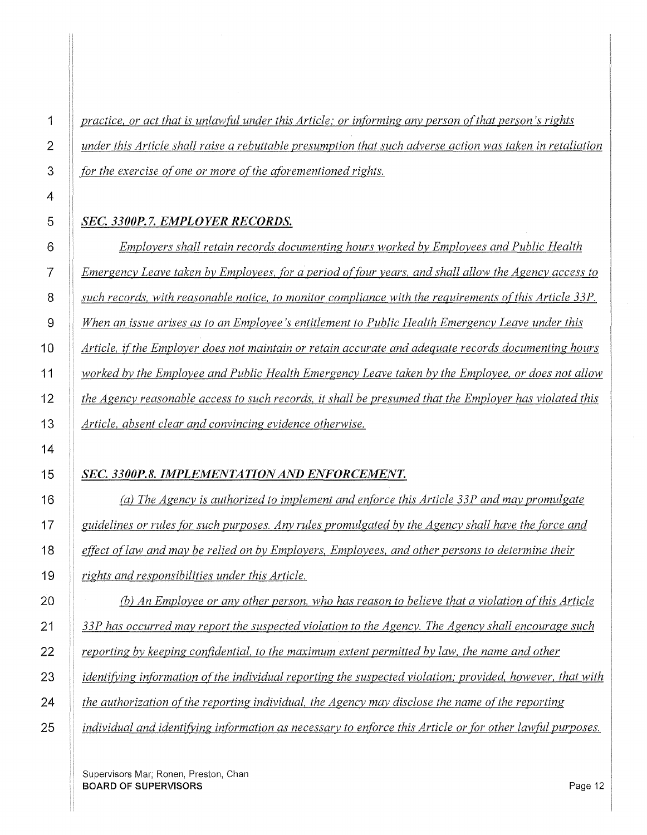*practice, or act that is unlawful under this Article; or informing any person of that person's rights under this Article shall raise a rebuttable presumption that such adverse action was taken in retaliation for the exercise of one or more of the aforementioned rights.* 

### *SEC.3300P. 7. EMPLOYER RECORDS.*

*Employers shall retain records documenting hours worked by Employees and Public Health Emergency Leave taken by Employees, for a period of four years, and shall allow the Agency access to such records, with reasonable notice, to monitor compliance with the requirements of this Article 33P. When an issue arises as to an Employee's entitlement to Public Health Emergency Leave under this Article, if the Employer does not maintain or retain accurate and adequate records documenting hours worked by the Employee and Public Health Emergency Leave taken by the Employee, or does not allow the Agency reasonable access to such records, it shall be presumed that the Employer has violated this Article, absent clear and convincing evidence otherwise.* 

### SEC. 3300P.8. IMPLEMENTATION AND ENFORCEMENT.

*(a) The Agency is authorized to implement and enforce this Article 33P and may promulgate guidelines or rules for such purposes. Any rules promulgated by the Agency shall have the force and effect oflaw and may be relied on by Employers, Employees, and other persons to determine their rights and responsibilities under this Article.* 

(b) *An Employee or any other person, who has reason to believe that a violation ofthis Article 33P has occurred may report the suspected violation to the Agency. The Agency shall encourage such reporting by keeping confidential, to the maximum extent permitted by law, the name and other identifying information of the individual reporting the suspected violation; provided, however, that with the authorization of the reporting individual, the Agency may disclose the name oft he reporting individual and identifying information as necessary to enforce this Article or for other lawfitl purposes.*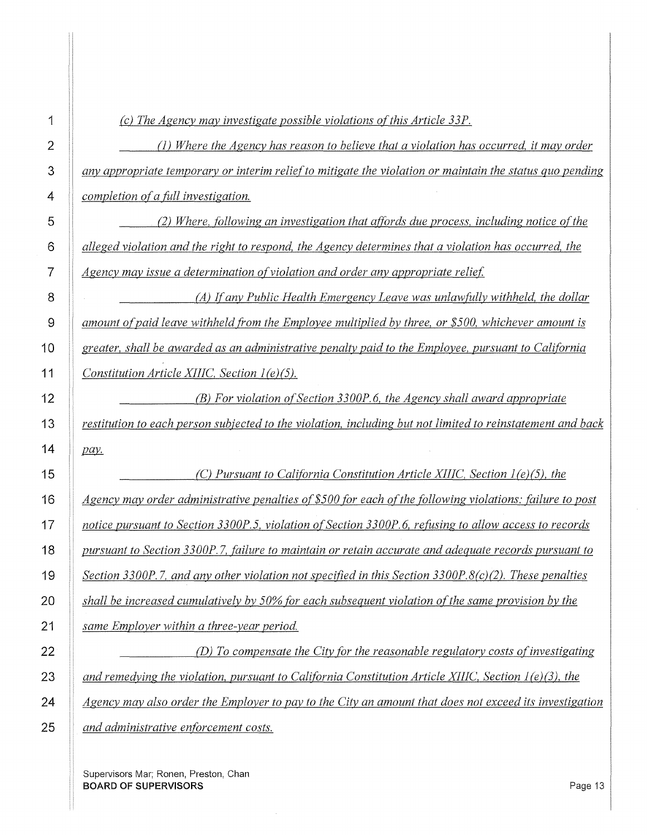*(c) The Agency may investigate possible violations ofthis Article 33P.* 

(1) *Where the Agency has reason to believe that a violation has occurred,* it *may order any appropriate temporary or interim reliefto mitigate the violation or maintain the status quo pending completion of a full investigation.* 

*(2) Where, following an investigation that affords due process, including notice ofthe alleged violation and the right to respond, the Agency determines that a violation has occurred, the Agency may issue a determination of violation and order any appropriate relief* 

*(A) If any Public Health Emergency Leave was unlaw{itlly withheld, the dollar amount of paid leave withheld from the Employee multiplied by three, or \$500, whichever amount is greater, shall be awarded as an administrative penalty paid to the Employee, pursuant to California Constitution Article XIIIC, Section 1 (e)(5).* 

*(B) For violation ofSection 3300P.6, the Agency shall award appropriate restitution to each person subjected to the violation, including but not limited to reinstatement and back*  pay.

 *(C) Pursuant to California Constitution Article XIIIC, Section 1(e)(5), the Agency may order administrative penalties of \$500 for each of the following violations: failure to post notice pursuant to Section 3300P.5, violation of Section 3300P.6, refusing to allow access to records pursuant to Section 3300P.* 7, *failure to maintain or retain accurate and adequate records pursuant to Section 3300P.* 7, *and any other violation not specified in this Section 3300P.8(c)(2). These penalties shall be increased cumulatively by 50% [or each subsequent violation of the same provision by the same Employer within a three-year period.* 

*(D) To compensate the City for the reasonable regulatory costs o(investigating and remedying the violation, pursuant to California Constitution Article XIIJC, Section 1 (e)(3), the Agency may also order the Employer to pay to the City an amount that does not exceed its investigation and administrative enforcement costs.*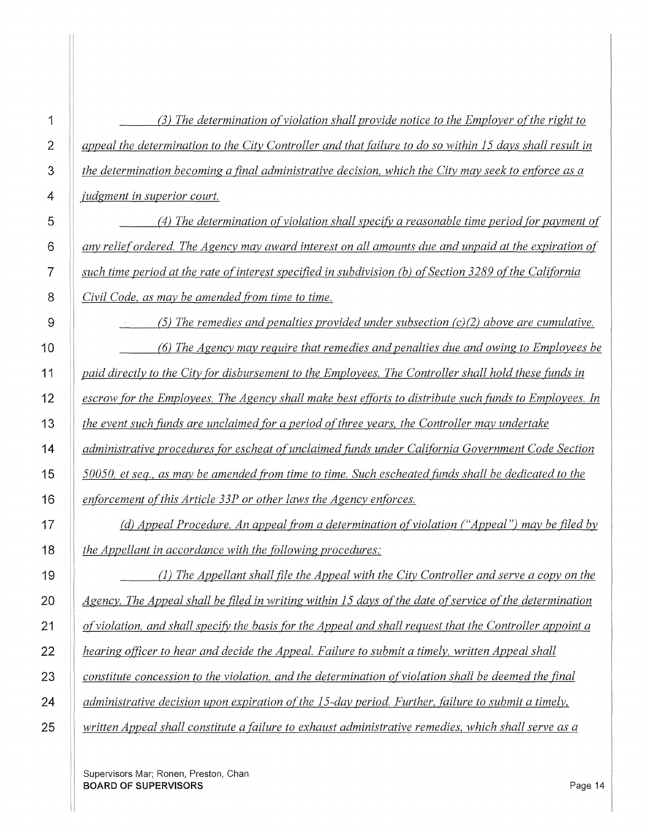(3) The determination of violation shall provide notice to the Employer of the right to *appeal the determination to the City Controller and that failure to do so within 15 days shall result in the determination becoming a final administrative decision, which the City may seek to enforce as a judgment in superior court. (4) The determination of violation shall specifj; a reasonable time period for payment of any relief ordered. The Agency may award interest on all amounts due and unpaid at the expiration of*  such time period at the rate of interest specified in subdivision (b) of Section 3289 of the California *Civil Code, as may be amended from time to time. (5) The remedies and penalties provided under subsection (c)(2) above are cumulative. (6) The Agency may require that remedies and penalties due and owing to Employees be paid directly to the City (Or disbursement to the Employees. The Controller shall hold these funds in escrow (Or the Employees. The Agency shall make best efforts to distribute such fimds to Employees. In the event such funds are unclaimed (Or a period ofthree years, the Controller may undertake administrative procedures for es cheat of unclaimed (imds under Cali(Ornia Government Code Section 50050, et seq., as may be amended from time to time. Such escheated funds shall be dedicated to the enforcement of this Article 33P or other laws the Agency enforces. (d) Appeal Procedure. An appeal from a determination of violation ("Appeal") may be filed by the Appellant in accordance with the (Ollowing procedures:*  (1) *The Appellant shall file the Appeal with the City Controller and serve a copy on the*  Agency. The Appeal shall be filed in writing within 15 days of the date of service of the determination *of violation, and shall specifj; the basis (Or the Appeal and shall request that the Controller appoint a hearing officer to hear and decide the Appeal. Failure to submit a timely, written Appeal shall* 

*constitute concession to the violation, and the determination of violation shall be deemed the final* 

*administrative decision upon expiration ofthe 15-day period. Further, failure to submit a timely,* 

*written Appeal shall constitute a failure to exhaust administrative remedies, which shall serve as a*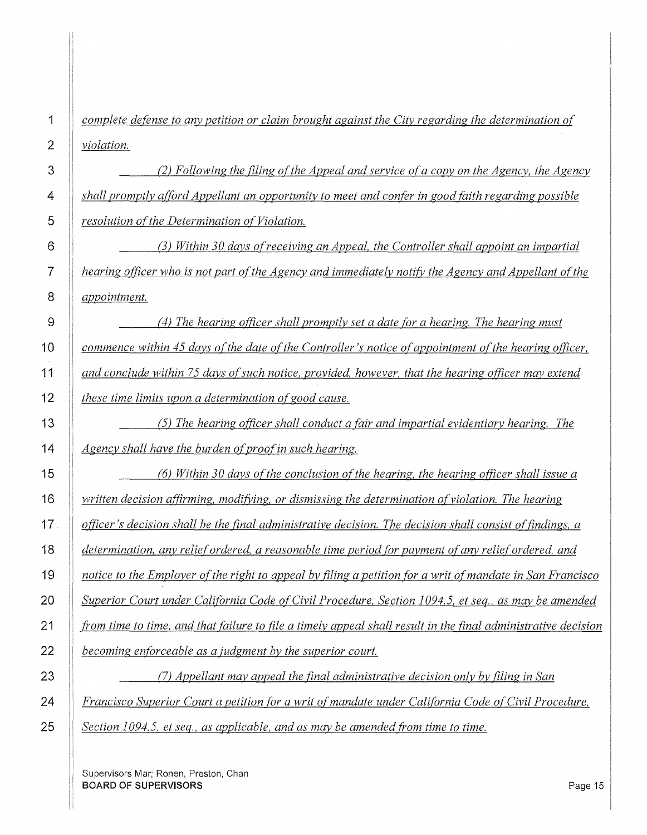*complete defense to any petition or claim brought against the City regarding the determination of violation.* 

(2) Following the filing of the Appeal and service of a copy on the Agency, the Agency *shall promptly afford Appellant an opportunity to meet and confer in good faith regarding possible resolution ofthe Determination of Violation.*  (3) *Within 30 days ofreceiving an Appeal, the Controller shall appoint an impartial hearing officer who is not part of the Agency and immediately notify the Agency and Appellant of the appointment. (4) The hearing officer shall promptly set a date for a hearing. The hearing must commence within 45 days ofthe date ofthe Controller's notice of appointment of the hearing officer, and conclude within* 7 *5 days of such notice, provided, however, that the hearing officer may extend these time limits upon a determination of good cause. (5) The hearing officer shall conduct a fair and impartial evidentiary hearing. The*  Agency shall have the burden of proof in such hearing. *(6) Within 30 days of the conclusion of the hearing, the hearing officer shall issue a written decision affirming, modifj;ing, or dismissing the determination of violation. The hearing officer's decision shall be the final administrative decision. The decision shall consist of findings, a determination, any relief ordered, a reasonable time period for payment of any relief ordered, and notice to the Employer of the right to appeal by filing a petition for a writ of mandate in San Francisco Superior Court under California Code of Civil Procedure, Section 1094. 5, et seq., as may be amended from time to time, and that failure to file a timely appeal shall result in the final administrative decision becoming enforceable as a judgment by the superior court.* 

*(7) Appellant may appeal the final administrative decision only by filing in San Francisco Superior Court a petition for a writ of mandate under California Code of Civil Procedure, Section 1094.5, et seq., as applicable, and as may be amended from time to time.*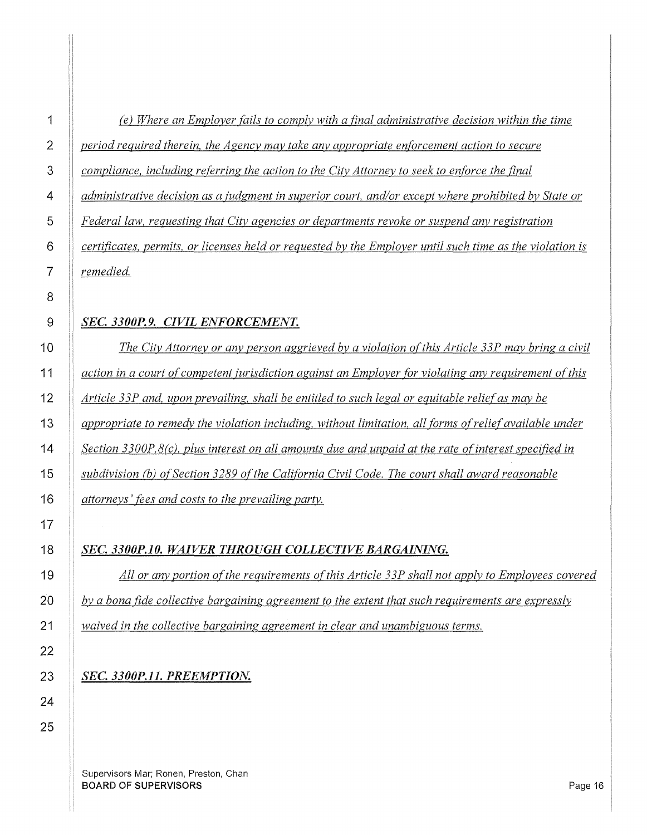# *(e) Where an Employer fails to comply with a final administrative decision within the time period required therein, the Agency may take any appropriate enforcement action to secure compliance, including referring the action to the City Attorney to seek to enforce the final administrative decision as a ;udgment in superior court, and/or except where prohibited bv State or Federal law, requesting that City agencies or departments revoke or suspend any registration*

*certificates, permits, or licenses held or requested by the Employer until such time as the violation is remedied.* 

### *SEC. 3300P.9. CIVIL ENFORCEMENT.*

*The City Attorney or any person aggrieved by a violation of this Article 33P may bring a civil action in a court of competent jurisdiction against an Employer for violating anv requirement of this Article 33P and, upon prevailing, shall be entitled to such legal or equitable relief as may be appropriate to remedy the violation including, without limitation, all forms ofreliefavailable under*  Section 3300P.8(c), plus interest on all amounts due and unpaid at the rate of interest specified in subdivision (b) of Section 3289 of the California Civil Code. The court shall award reasonable *attorneys' fees and costs to the prevailing party.* 

### *SEC. 3300P.10. WAIVER THROUGH COLLECTIVE BARGAINING.*

All or any portion of the requirements of this Article 33P shall not apply to Employees covered *by a bona fide collective bargaining agreement to the extent that such requirements are expressly waived in the collective bargaining agreement in clear and unambiguous terms.* 

# *SEC. 3300P.11. PREEMPTION.*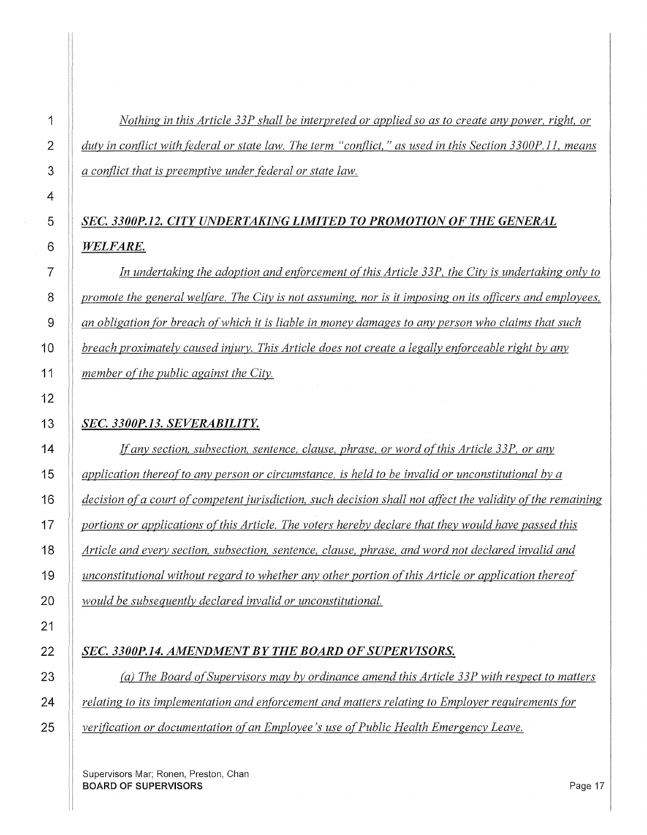*Nothing in this Article 33P shall be interpreted or applied so as to create any power, right, or duty in conflict with federal or state law. The term "conflict," as used in this Section 3300P. l l, means a conflict that is preemptive under federal or state law.* 

# *SEC. 3300P.12. CITY UNDERTAKING LIMITED TO PROMOTION OF THE GENERAL WELFARE.*

*In undertaking the adoption and enforcement of this Article 33P, the City is undertaking only to promote the general welfare. The City is not assuming, nor is it imposing on its o(ficers and employees, an obligation for breach of which it is liable in money damages to any person who claims that such breach proximately caused injury. This Article does not create a legally enforceable right by any member of the public against the City.* 

### *SEC. 3300P.13. SEVERABILITY.*

*If any section, subsection, sentence, clause, phrase, or word of this Article 33P, or any application thereof to any person or circumstance, is held to be invalid or unconstitutional by a decision of a court of competent jurisdiction, such decision shall not affect the validity of the remaining portions or applications of this Article. The voters hereby declare that they would have passed this Article and every section, subsection, sentence, clause, phrase, and word not declared invalid and unconstitutional without regard to whether any other portion ofthis Article or application thereof would be subsequently declared invalid or unconstitutional.* 

### *SEC. 3300P.14. AMENDMENT BY THE BOARD OF SUPERVISORS.*

*(a) The Board of Supervisors may by ordinance amend this Article 33P with respect to matters relating to its implementation and enforcement and matters relating to Employer requirements for verification or documentation of an Employee's use of Public Health Emergency Leave.*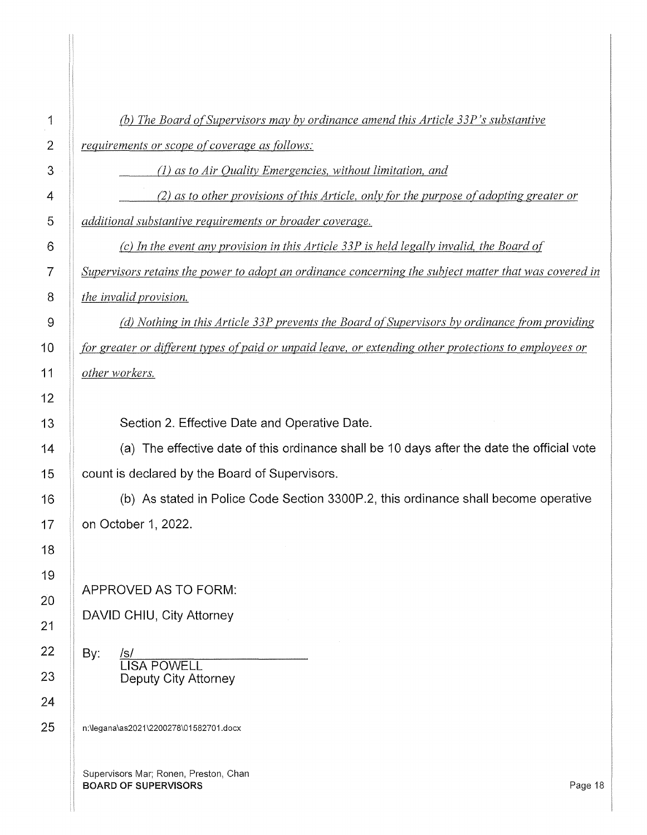| 1              | (b) The Board of Supervisors may by ordinance amend this Article 33P's substantive                     |
|----------------|--------------------------------------------------------------------------------------------------------|
| $\overline{2}$ | <i>requirements or scope of coverage as follows:</i>                                                   |
| 3              | (1) as to Air Quality Emergencies, without limitation, and                                             |
| 4              | (2) as to other provisions of this Article, only for the purpose of adopting greater or                |
| 5              | additional substantive requirements or broader coverage.                                               |
| 6              | (c) In the event any provision in this Article 33P is held legally invalid, the Board of               |
| $\overline{7}$ | Supervisors retains the power to adopt an ordinance concerning the subject matter that was covered in  |
| 8              | <i>the invalid provision.</i>                                                                          |
| 9              | (d) Nothing in this Article 33P prevents the Board of Supervisors by ordinance from providing          |
| 10             | for greater or different types of paid or unpaid leave, or extending other protections to employees or |
| 11             | other workers.                                                                                         |
| 12             |                                                                                                        |
| 13             | Section 2. Effective Date and Operative Date.                                                          |
| 14             | (a) The effective date of this ordinance shall be 10 days after the date the official vote             |
| 15             | count is declared by the Board of Supervisors.                                                         |
| 16             | (b) As stated in Police Code Section 3300P.2, this ordinance shall become operative                    |
| 17             | on October 1, 2022.                                                                                    |
| 18             |                                                                                                        |
| 19             |                                                                                                        |
| 20             | APPROVED AS TO FORM:                                                                                   |
| 21             | DAVID CHIU, City Attorney                                                                              |
| 22             | By:<br><u>/s/</u><br>LISA POWELL                                                                       |
| 23             | Deputy City Attorney                                                                                   |
| 24             |                                                                                                        |
| 25             | n:\legana\as2021\2200278\01582701.docx                                                                 |
|                |                                                                                                        |
|                | Supervisors Mar; Ronen, Preston, Chan<br><b>BOARD OF SUPERVISORS</b><br>Page 18                        |
|                |                                                                                                        |